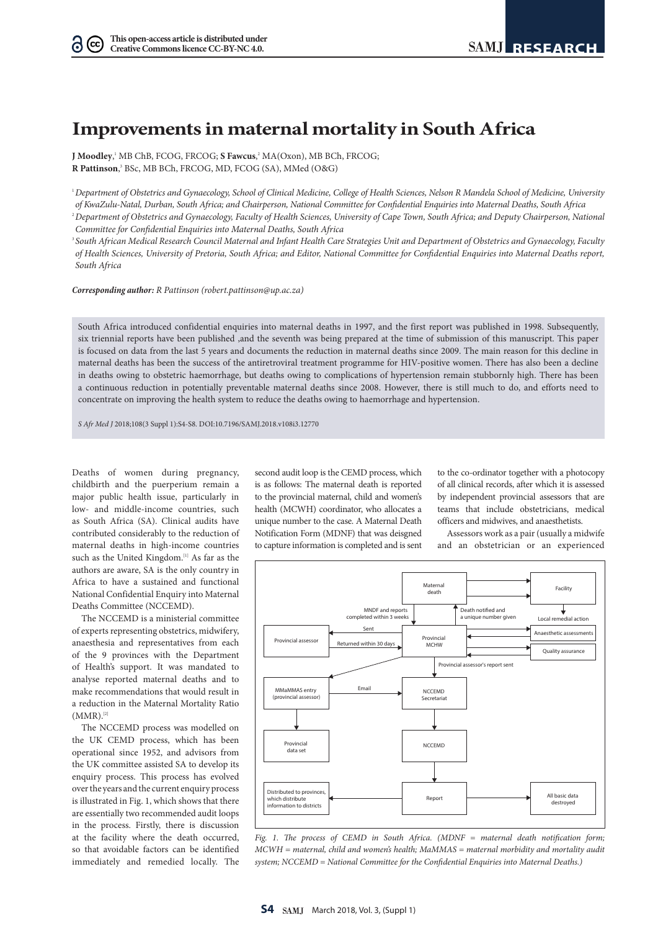$(cc)$ ര

# **Improvements in maternal mortality in South Africa**

**J Moodley,'** MB ChB, FCOG, FRCOG; **S Fawcus**,<sup>2</sup> MA(Oxon), MB BCh, FRCOG; R Pattinson,<sup>3</sup> BSc, MB BCh, FRCOG, MD, FCOG (SA), MMed (O&G)

1 *Department of Obstetrics and Gynaecology, School of Clinical Medicine, College of Health Sciences, Nelson R Mandela School of Medicine, University of KwaZulu-Natal, Durban, South Africa; and Chairperson, National Committee for Confidential Enquiries into Maternal Deaths, South Africa*

<sup>2</sup> Department of Obstetrics and Gynaecology, Faculty of Health Sciences, University of Cape Town, South Africa; and Deputy Chairperson, National *Committee for Confidential Enquiries into Maternal Deaths, South Africa*

3 *South African Medical Research Council Maternal and Infant Health Care Strategies Unit and Department of Obstetrics and Gynaecology, Faculty of Health Sciences, University of Pretoria, South Africa; and Editor, National Committee for Confidential Enquiries into Maternal Deaths report, South Africa*

*Corresponding author: R Pattinson (robert.pattinson@up.ac.za)*

South Africa introduced confidential enquiries into maternal deaths in 1997, and the first report was published in 1998. Subsequently, six triennial reports have been published ,and the seventh was being prepared at the time of submission of this manuscript. This paper is focused on data from the last 5 years and documents the reduction in maternal deaths since 2009. The main reason for this decline in maternal deaths has been the success of the antiretroviral treatment programme for HIV-positive women. There has also been a decline in deaths owing to obstetric haemorrhage, but deaths owing to complications of hypertension remain stubbornly high. There has been a continuous reduction in potentially preventable maternal deaths since 2008. However, there is still much to do, and efforts need to concentrate on improving the health system to reduce the deaths owing to haemorrhage and hypertension.

*S Afr Med J* 2018;108(3 Suppl 1):S4-S8. DOI:10.7196/SAMJ.2018.v108i3.12770

Deaths of women during pregnancy, childbirth and the puerperium remain a major public health issue, particularly in low- and middle-income countries, such as South Africa (SA). Clinical audits have contributed considerably to the reduction of maternal deaths in high-income countries such as the United Kingdom.<sup>[1]</sup> As far as the authors are aware, SA is the only country in Africa to have a sustained and functional National Confidential Enquiry into Maternal Deaths Committee (NCCEMD).

The NCCEMD is a ministerial committee of experts representing obstetrics, midwifery, anaesthesia and representatives from each of the 9 provinces with the Department of Health's support. It was mandated to analyse reported maternal deaths and to make recommendations that would result in a reduction in the Maternal Mortality Ratio  $(MMR).^{[2]}$ 

The NCCEMD process was modelled on the UK CEMD process, which has been operational since 1952, and advisors from the UK committee assisted SA to develop its enquiry process. This process has evolved over the years and the current enquiry process is illustrated in Fig. 1, which shows that there are essentially two recommended audit loops in the process. Firstly, there is discussion at the facility where the death occurred, so that avoidable factors can be identified immediately and remedied locally. The

second audit loop is the CEMD process, which is as follows: The maternal death is reported to the provincial maternal, child and women's health (MCWH) coordinator, who allocates a unique number to the case. A Maternal Death Notification Form (MDNF) that was deisgned to capture information is completed and is sent

to the co-ordinator together with a photocopy of all clinical records, after which it is assessed by independent provincial assessors that are teams that include obstetricians, medical officers and midwives, and anaesthetists.

Assessors work as a pair (usually a midwife and an obstetrician or an experienced



*Fig. 1. The process of CEMD in South Africa. (MDNF = maternal death notification form; MCWH = maternal, child and women's health; MaMMAS = maternal morbidity and mortality audit system; NCCEMD = National Committee for the Confidential Enquiries into Maternal Deaths.)*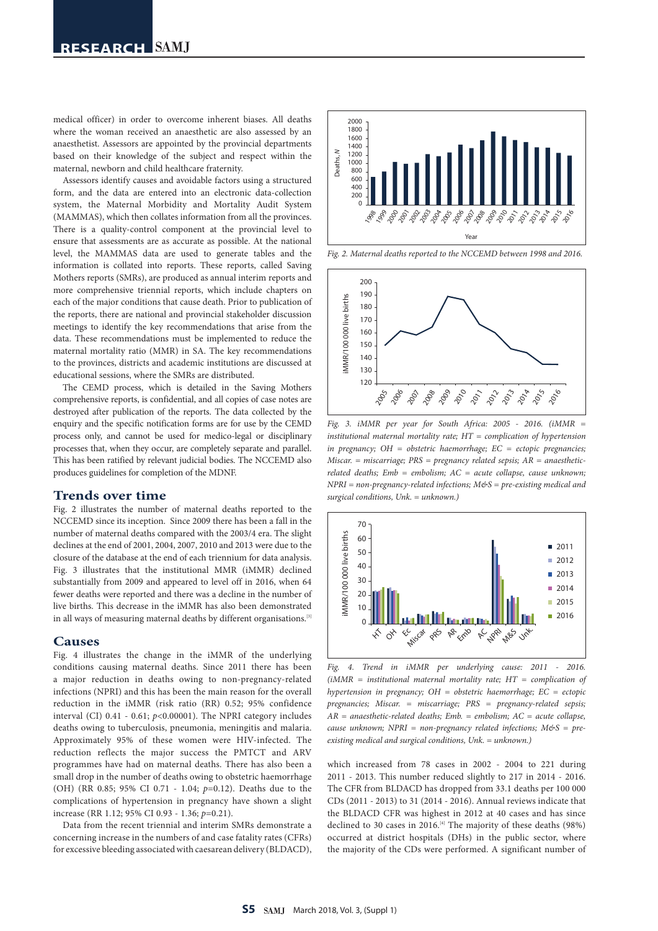medical officer) in order to overcome inherent biases. All deaths where the woman received an anaesthetic are also assessed by an anaesthetist. Assessors are appointed by the provincial departments based on their knowledge of the subject and respect within the maternal, newborn and child healthcare fraternity.

Assessors identify causes and avoidable factors using a structured form, and the data are entered into an electronic data-collection system, the Maternal Morbidity and Mortality Audit System (MAMMAS), which then collates information from all the provinces. There is a quality-control component at the provincial level to ensure that assessments are as accurate as possible. At the national level, the MAMMAS data are used to generate tables and the information is collated into reports. These reports, called Saving Mothers reports (SMRs), are produced as annual interim reports and more comprehensive triennial reports, which include chapters on each of the major conditions that cause death. Prior to publication of the reports, there are national and provincial stakeholder discussion meetings to identify the key recommendations that arise from the data. These recommendations must be implemented to reduce the maternal mortality ratio (MMR) in SA. The key recommendations to the provinces, districts and academic institutions are discussed at educational sessions, where the SMRs are distributed.

The CEMD process, which is detailed in the Saving Mothers comprehensive reports, is confidential, and all copies of case notes are destroyed after publication of the reports. The data collected by the enquiry and the specific notification forms are for use by the CEMD process only, and cannot be used for medico-legal or disciplinary processes that, when they occur, are completely separate and parallel. This has been ratified by relevant judicial bodies. The NCCEMD also produces guidelines for completion of the MDNF.

## **Trends over time**

Fig. 2 illustrates the number of maternal deaths reported to the NCCEMD since its inception. Since 2009 there has been a fall in the number of maternal deaths compared with the 2003/4 era. The slight declines at the end of 2001, 2004, 2007, 2010 and 2013 were due to the closure of the database at the end of each triennium for data analysis. Fig. 3 illustrates that the institutional MMR (iMMR) declined substantially from 2009 and appeared to level off in 2016, when 64 fewer deaths were reported and there was a decline in the number of live births. This decrease in the iMMR has also been demonstrated in all ways of measuring maternal deaths by different organisations.<sup>[3]</sup>

## **Causes**

Fig. 4 illustrates the change in the iMMR of the underlying conditions causing maternal deaths. Since 2011 there has been a major reduction in deaths owing to non-pregnancy-related infections (NPRI) and this has been the main reason for the overall reduction in the iMMR (risk ratio (RR) 0.52; 95% confidence interval (CI) 0.41 - 0.61; *p*<0.00001). The NPRI category includes deaths owing to tuberculosis, pneumonia, meningitis and malaria. Approximately 95% of these women were HIV-infected. The reduction reflects the major success the PMTCT and ARV programmes have had on maternal deaths. There has also been a small drop in the number of deaths owing to obstetric haemorrhage (OH) (RR 0.85; 95% CI 0.71 - 1.04; *p*=0.12). Deaths due to the complications of hypertension in pregnancy have shown a slight increase (RR 1.12; 95% CI 0.93 - 1.36; *p*=0.21).

Data from the recent triennial and interim SMRs demonstrate a concerning increase in the numbers of and case fatality rates (CFRs) for excessive bleeding associated with caesarean delivery (BLDACD),



*Fig. 2. Maternal deaths reported to the NCCEMD between 1998 and 2016.*



Fig. 3. iMMR per year for South Africa: 2005 - 2016. (iMMR = <br>institutional maternal mortality acts UT communication of hypotension *institutional maternal mortality rate; HT = complication of hypertension in pregnancy; OH = obstetric haemorrhage; EC = ectopic pregnancies; Miscar. = miscarriage; PRS = pregnancy related sepsis; AR = anaestheticrelated deaths; Emb = embolism; AC = acute collapse, cause unknown; NPRI = non-pregnancy-related infections; M&S = pre-existing medical and surgical conditions, Unk. = unknown.)*



*Fig. 4. Trend in iMMR per underlying cause: 2011 - 2016. (iMMR = institutional maternal mortality rate; HT = complication of hypertension in pregnancy; OH = obstetric haemorrhage; EC = ectopic pregnancies; Miscar. = miscarriage; PRS = pregnancy-related sepsis; AR = anaesthetic-related deaths; Emb. = embolism; AC = acute collapse, cause unknown; NPRI = non-pregnancy related infections; M&S = preexisting medical and surgical conditions, Unk. = unknown.)*

which increased from 78 cases in 2002 - 2004 to 221 during 2011 - 2013. This number reduced slightly to 217 in 2014 - 2016. 80 The CFR from BLDACD has dropped from 33.1 deaths per 100 000 CDs (2011 - 2013) to 31 (2014 - 2016). Annual reviews indicate that the BLDACD CFR was highest in 2012 at 40 cases and has since 40 declined to 30 cases in 2016.<sup>[4]</sup> The majority of these deaths (98%) occurred at district hospitals (DHs) in the public sector, where the majority of the CDs were performed. A significant number of l I<br>death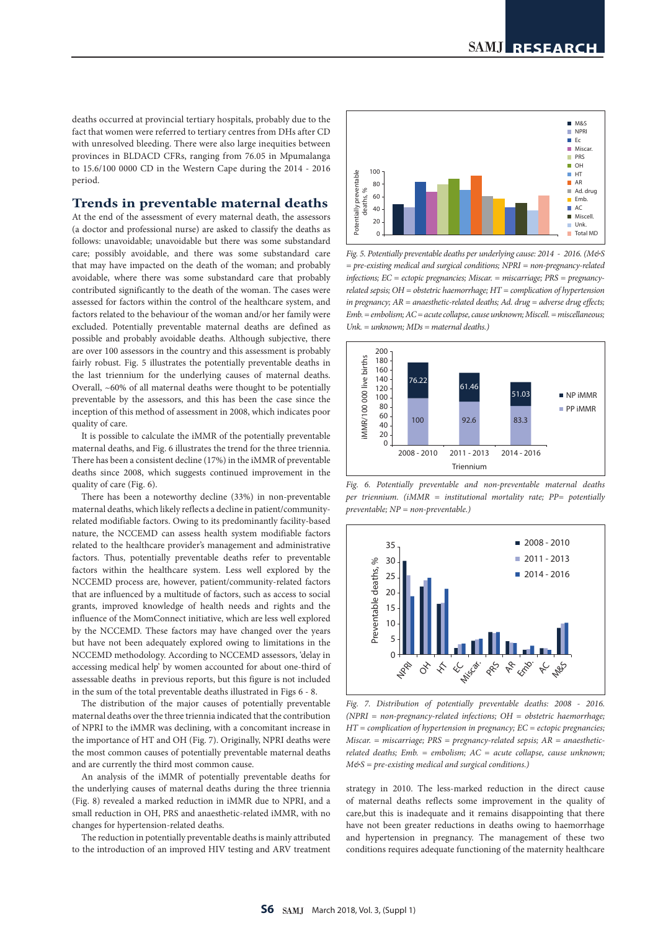deaths occurred at provincial tertiary hospitals, probably due to the fact that women were referred to tertiary centres from DHs after CD with unresolved bleeding. There were also large inequities between provinces in BLDACD CFRs, ranging from 76.05 in Mpumalanga to 15.6/100 0000 CD in the Western Cape during the 2014 - 2016 period.

# **Trends in preventable maternal deaths**

At the end of the assessment of every maternal death, the assessors (a doctor and professional nurse) are asked to classify the deaths as follows: unavoidable; unavoidable but there was some substandard care; possibly avoidable, and there was some substandard care that may have impacted on the death of the woman; and probably avoidable, where there was some substandard care that probably contributed significantly to the death of the woman. The cases were assessed for factors within the control of the healthcare system, and factors related to the behaviour of the woman and/or her family were excluded. Potentially preventable maternal deaths are defined as possible and probably avoidable deaths. Although subjective, there are over 100 assessors in the country and this assessment is probably fairly robust. Fig. 5 illustrates the potentially preventable deaths in the last triennium for the underlying causes of maternal deaths. Overall, ~60% of all maternal deaths were thought to be potentially preventable by the assessors, and this has been the case since the inception of this method of assessment in 2008, which indicates poor quality of care.

It is possible to calculate the iMMR of the potentially preventable maternal deaths, and Fig. 6 illustrates the trend for the three triennia. There has been a consistent decline (17%) in the iMMR of preventable deaths since 2008, which suggests continued improvement in the quality of care (Fig. 6).

There has been a noteworthy decline (33%) in non-preventable maternal deaths, which likely reflects a decline in patient/communityrelated modifiable factors. Owing to its predominantly facility-based nature, the NCCEMD can assess health system modifiable factors related to the healthcare provider's management and administrative factors. Thus, potentially preventable deaths refer to preventable factors within the healthcare system. Less well explored by the NCCEMD process are, however, patient/community-related factors that are influenced by a multitude of factors, such as access to social grants, improved knowledge of health needs and rights and the influence of the MomConnect initiative, which are less well explored by the NCCEMD. These factors may have changed over the years but have not been adequately explored owing to limitations in the NCCEMD methodology. According to NCCEMD assessors, 'delay in accessing medical help' by women accounted for about one-third of assessable deaths in previous reports, but this figure is not included in the sum of the total preventable deaths illustrated in Figs 6 - 8.

The distribution of the major causes of potentially preventable maternal deaths over the three triennia indicated that the contribution of NPRI to the iMMR was declining, with a concomitant increase in the importance of HT and OH (Fig. 7). Originally, NPRI deaths were the most common causes of potentially preventable maternal deaths and are currently the third most common cause.

An analysis of the iMMR of potentially preventable deaths for the underlying causes of maternal deaths during the three triennia (Fig. 8) revealed a marked reduction in iMMR due to NPRI, and a small reduction in OH, PRS and anaesthetic-related iMMR, with no changes for hypertension-related deaths.

The reduction in potentially preventable deaths is mainly attributed to the introduction of an improved HIV testing and ARV treatment



0

*Fig. 5. Potentially preventable deaths per underlying cause: 2014 - 2016. (M&S = pre-existing medical and surgical conditions; NPRI = non-pregnancy-related infections; EC = ectopic pregnancies; Miscar. = miscarriage; PRS = pregnancyrelated sepsis; OH = obstetric haemorrhage; HT = complication of hypertension in pregnancy; AR = anaesthetic-related deaths; Ad. drug = adverse drug effects; Emb. = embolism; AC = acute collapse, cause unknown; Miscell. = miscellaneous; Unk. = unknown; MDs = maternal deaths.)*



*Fig. 6. Potentially preventable and non-preventable maternal deaths per triennium. (iMMR = institutional mortality rate; PP= potentially* 



*Fig. 7. Distribution of potentially preventable deaths: 2008 - 2016. (NPRI = non-pregnancy-related infections; OH = obstetric haemorrhage; HT = complication of hypertension in pregnancy; EC = ectopic pregnancies; Miscar. = miscarriage; PRS = pregnancy-related sepsis; AR = anaestheticrelated deaths; Emb. = embolism; AC = acute collapse, cause unknown; M&S = pre-existing medical and surgical conditions.)*

strategy in 2010. The less-marked reduction in the direct cause of maternal deaths reflects some improvement in the quality of care,but this is inadequate and it remains disappointing that there have not been greater reductions in deaths owing to haemorrhage and hypertension in pregnancy. The management of these two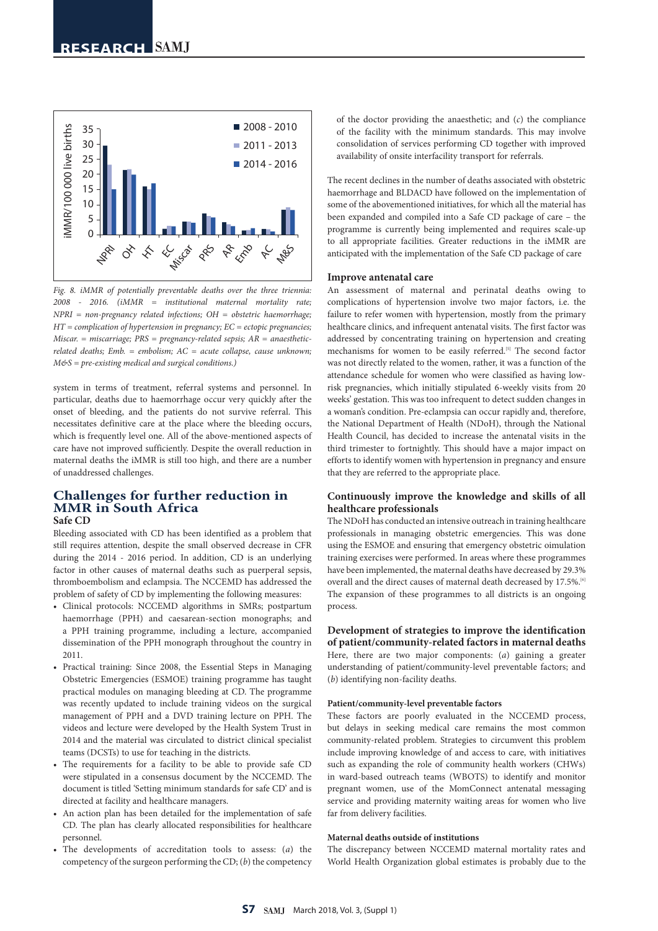

*Fig. 8. iMMR of potentially preventable deaths over the three triennia: 2008 - 2016. (iMMR = institutional maternal mortality rate; NPRI = non-pregnancy related infections; OH = obstetric haemorrhage; HT = complication of hypertension in pregnancy; EC = ectopic pregnancies; Miscar. = miscarriage; PRS = pregnancy-related sepsis; AR = anaestheticrelated deaths; Emb. = embolism; AC = acute collapse, cause unknown; M&S = pre-existing medical and surgical conditions.)*

system in terms of treatment, referral systems and personnel. In particular, deaths due to haemorrhage occur very quickly after the onset of bleeding, and the patients do not survive referral. This necessitates definitive care at the place where the bleeding occurs, which is frequently level one. All of the above-mentioned aspects of care have not improved sufficiently. Despite the overall reduction in maternal deaths the iMMR is still too high, and there are a number of unaddressed challenges.

## **Challenges for further reduction in MMR in South Africa Safe CD**

Bleeding associated with CD has been identified as a problem that still requires attention, despite the small observed decrease in CFR during the 2014 - 2016 period. In addition, CD is an underlying factor in other causes of maternal deaths such as puerperal sepsis, thromboembolism and eclampsia. The NCCEMD has addressed the problem of safety of CD by implementing the following measures:

- Clinical protocols: NCCEMD algorithms in SMRs; postpartum haemorrhage (PPH) and caesarean-section monographs; and a PPH training programme, including a lecture, accompanied dissemination of the PPH monograph throughout the country in 2011.
- Practical training: Since 2008, the Essential Steps in Managing Obstetric Emergencies (ESMOE) training programme has taught practical modules on managing bleeding at CD. The programme was recently updated to include training videos on the surgical management of PPH and a DVD training lecture on PPH. The videos and lecture were developed by the Health System Trust in 2014 and the material was circulated to district clinical specialist teams (DCSTs) to use for teaching in the districts.
- The requirements for a facility to be able to provide safe CD were stipulated in a consensus document by the NCCEMD. The document is titled 'Setting minimum standards for safe CD' and is directed at facility and healthcare managers.
- An action plan has been detailed for the implementation of safe CD. The plan has clearly allocated responsibilities for healthcare personnel.
- The developments of accreditation tools to assess: (*a*) the competency of the surgeon performing the CD; (*b*) the competency

of the doctor providing the anaesthetic; and (*c*) the compliance of the facility with the minimum standards. This may involve consolidation of services performing CD together with improved availability of onsite interfacility transport for referrals.

The recent declines in the number of deaths associated with obstetric haemorrhage and BLDACD have followed on the implementation of some of the abovementioned initiatives, for which all the material has been expanded and compiled into a Safe CD package of care – the programme is currently being implemented and requires scale-up to all appropriate facilities. Greater reductions in the iMMR are anticipated with the implementation of the Safe CD package of care

#### **Improve antenatal care**

An assessment of maternal and perinatal deaths owing to complications of hypertension involve two major factors, i.e. the failure to refer women with hypertension, mostly from the primary healthcare clinics, and infrequent antenatal visits. The first factor was addressed by concentrating training on hypertension and creating mechanisms for women to be easily referred.<sup>[5]</sup> The second factor was not directly related to the women, rather, it was a function of the attendance schedule for women who were classified as having lowrisk pregnancies, which initially stipulated 6-weekly visits from 20 weeks' gestation. This was too infrequent to detect sudden changes in a woman's condition. Pre-eclampsia can occur rapidly and, therefore, the National Department of Health (NDoH), through the National Health Council, has decided to increase the antenatal visits in the third trimester to fortnightly. This should have a major impact on efforts to identify women with hypertension in pregnancy and ensure that they are referred to the appropriate place.

## **Continuously improve the knowledge and skills of all healthcare professionals**

The NDoH has conducted an intensive outreach in training healthcare professionals in managing obstetric emergencies. This was done using the ESMOE and ensuring that emergency obstetric oimulation training exercises were performed. In areas where these programmes have been implemented, the maternal deaths have decreased by 29.3% overall and the direct causes of maternal death decreased by 17.5%.<sup>[6]</sup> The expansion of these programmes to all districts is an ongoing process.

**Development of strategies to improve the identification of patient/community-related factors in maternal deaths** Here, there are two major components: (*a*) gaining a greater understanding of patient/community-level preventable factors; and (*b*) identifying non-facility deaths.

#### **Patient/community-level preventable factors**

These factors are poorly evaluated in the NCCEMD process, but delays in seeking medical care remains the most common community-related problem. Strategies to circumvent this problem include improving knowledge of and access to care, with initiatives such as expanding the role of community health workers (CHWs) in ward-based outreach teams (WBOTS) to identify and monitor pregnant women, use of the MomConnect antenatal messaging service and providing maternity waiting areas for women who live far from delivery facilities.

#### **Maternal deaths outside of institutions**

The discrepancy between NCCEMD maternal mortality rates and World Health Organization global estimates is probably due to the